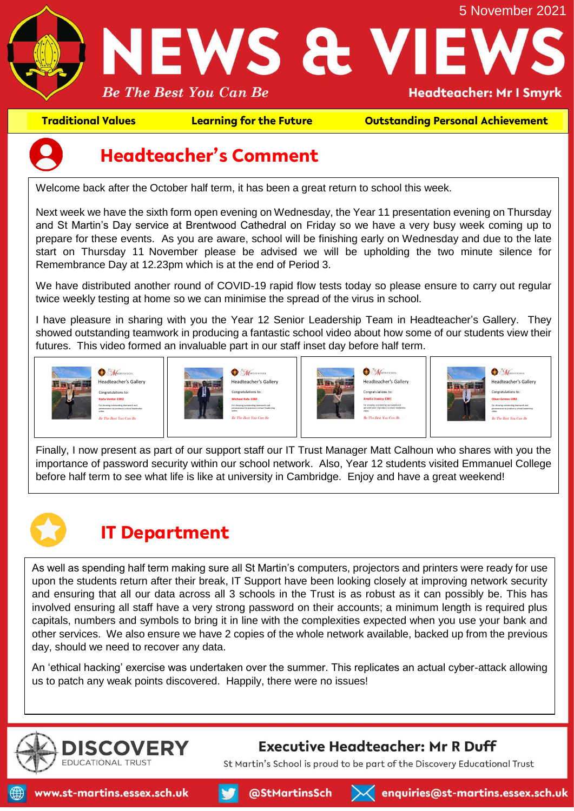

**Traditional Values Learning for the Future Outstanding Personal Achievement**



### **Headteacher's Comment**

Welcome back after the October half term, it has been a great return to school this week.

Next week we have the sixth form open evening on Wednesday, the Year 11 presentation evening on Thursday and St Martin's Day service at Brentwood Cathedral on Friday so we have a very busy week coming up to prepare for these events. As you are aware, school will be finishing early on Wednesday and due to the late start on Thursday 11 November please be advised we will be upholding the two minute silence for Remembrance Day at 12.23pm which is at the end of Period 3.

We have distributed another round of COVID-19 rapid flow tests today so please ensure to carry out regular twice weekly testing at home so we can minimise the spread of the virus in school.

I have pleasure in sharing with you the Year 12 Senior Leadership Team in Headteacher's Gallery. They showed outstanding teamwork in producing a fantastic school video about how some of our students view their futures. This video formed an invaluable part in our staff inset day before half term.



Finally, I now present as part of our support staff our IT Trust Manager Matt Calhoun who shares with you the importance of password security within our school network. Also, Year 12 students visited Emmanuel College before half term to see what life is like at university in Cambridge. Enjoy and have a great weekend!

# **IT Department**

As well as spending half term making sure all St Martin's computers, projectors and printers were ready for use upon the students return after their break, IT Support have been looking closely at improving network security and ensuring that all our data across all 3 schools in the Trust is as robust as it can possibly be. This has involved ensuring all staff have a very strong password on their accounts; a minimum length is required plus capitals, numbers and symbols to bring it in line with the complexities expected when you use your bank and other services. We also ensure we have 2 copies of the whole network available, backed up from the previous day, should we need to recover any data.

An 'ethical hacking' exercise was undertaken over the summer. This replicates an actual cyber-attack allowing us to patch any weak points discovered. Happily, there were no issues!

@StMartinsSch



#### **Executive Headteacher: Mr R Duff**

St Martin's School is proud to be part of the Discovery Educational Trust

 $\mathcal{A}$  enquiries@st-martins.essex.sch.uk